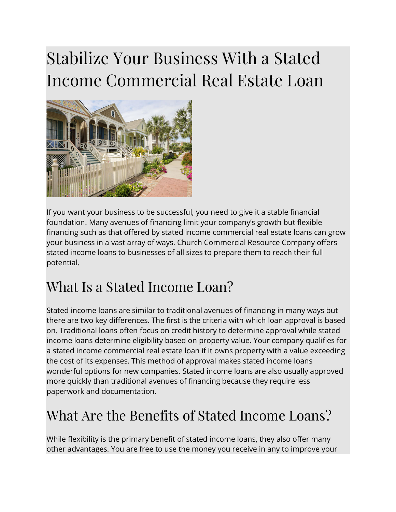## Stabilize Your Business With a Stated Income Commercial Real Estate Loan



If you want your business to be successful, you need to give it a stable financial foundation. Many avenues of financing limit your company's growth but flexible financing such as that offered by stated income commercial real estate loans can grow your business in a vast array of ways. Church Commercial Resource Company offers stated income loans to businesses of all sizes to prepare them to reach their full potential.

## What Is a Stated Income Loan?

Stated income loans are similar to traditional avenues of financing in many ways but there are two key differences. The first is the criteria with which loan approval is based on. Traditional loans often focus on credit history to determine approval while stated income loans determine eligibility based on property value. Your company qualifies for a stated income commercial real estate loan if it owns property with a value exceeding the cost of its expenses. This method of approval makes stated income loans wonderful options for new companies. Stated income loans are also usually approved more quickly than traditional avenues of financing because they require less paperwork and documentation.

## What Are the Benefits of Stated Income Loans?

While flexibility is the primary benefit of stated income loans, they also offer many other advantages. You are free to use the money you receive in any to improve your